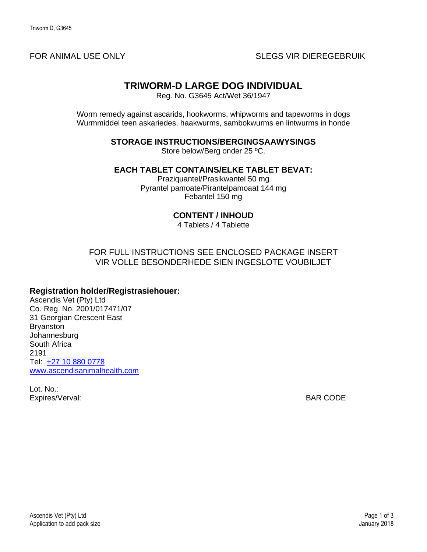# **TRIWORM-D LARGE DOG INDIVIDUAL**

Reg. No. G3645 Act/Wet 36/1947

Worm remedy against ascarids, hookworms, whipworms and tapeworms in dogs Wurmmiddel teen askariedes, haakwurms, sambokwurms en lintwurms in honde

**STORAGE INSTRUCTIONS/BERGINGSAAWYSINGS**

Store below/Berg onder 25 ºC.

**EACH TABLET CONTAINS/ELKE TABLET BEVAT:**

Praziquantel/Prasikwantel 50 mg Pyrantel pamoate/Pirantelpamoaat 144 mg Febantel 150 mg

### **CONTENT / INHOUD**

4 Tablets / 4 Tablette

#### FOR FULL INSTRUCTIONS SEE ENCLOSED PACKAGE INSERT VIR VOLLE BESONDERHEDE SIEN INGESLOTE VOUBILJET

#### **Registration holder/Registrasiehouer:**

Ascendis Vet (Pty) Ltd Co. Reg. No. 2001/017471/07 31 Georgian Crescent East Bryanston **Johannesburg** South Africa 2191 Tel: [+27 10 880 0778](tel:0027110369600) [www.ascendisanimalhealth.com](http://www.ascendishealth.com/)

Lot. No.: Expires/Verval: BAR CODE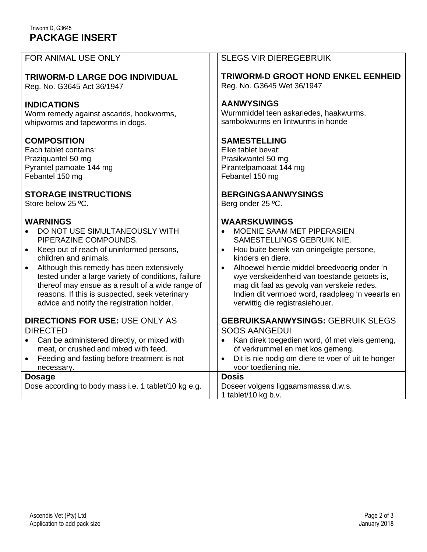## Triworm D, G3645 **PACKAGE INSERT**

| FOR ANIMAL USE ONLY                                                                                                                                                                                                                      | <b>SLEGS VIR DIEREGEBRUIK</b>                                                                                                                                                                                                             |
|------------------------------------------------------------------------------------------------------------------------------------------------------------------------------------------------------------------------------------------|-------------------------------------------------------------------------------------------------------------------------------------------------------------------------------------------------------------------------------------------|
| TRIWORM-D LARGE DOG INDIVIDUAL                                                                                                                                                                                                           | <b>TRIWORM-D GROOT HOND ENKEL EENHEID</b>                                                                                                                                                                                                 |
| Reg. No. G3645 Act 36/1947                                                                                                                                                                                                               | Reg. No. G3645 Wet 36/1947                                                                                                                                                                                                                |
| <b>INDICATIONS</b>                                                                                                                                                                                                                       | <b>AANWYSINGS</b>                                                                                                                                                                                                                         |
| Worm remedy against ascarids, hookworms,                                                                                                                                                                                                 | Wurmmiddel teen askariedes, haakwurms,                                                                                                                                                                                                    |
| whipworms and tapeworms in dogs.                                                                                                                                                                                                         | sambokwurms en lintwurms in honde                                                                                                                                                                                                         |
| <b>COMPOSITION</b>                                                                                                                                                                                                                       | <b>SAMESTELLING</b>                                                                                                                                                                                                                       |
| Each tablet contains:                                                                                                                                                                                                                    | Elke tablet bevat:                                                                                                                                                                                                                        |
| Praziquantel 50 mg                                                                                                                                                                                                                       | Prasikwantel 50 mg                                                                                                                                                                                                                        |
| Pyrantel pamoate 144 mg                                                                                                                                                                                                                  | Pirantelpamoaat 144 mg                                                                                                                                                                                                                    |
| Febantel 150 mg                                                                                                                                                                                                                          | Febantel 150 mg                                                                                                                                                                                                                           |
| <b>STORAGE INSTRUCTIONS</b>                                                                                                                                                                                                              | <b>BERGINGSAANWYSINGS</b>                                                                                                                                                                                                                 |
| Store below 25 °C.                                                                                                                                                                                                                       | Berg onder 25 °C.                                                                                                                                                                                                                         |
| <b>WARNINGS</b>                                                                                                                                                                                                                          | <b>WAARSKUWINGS</b>                                                                                                                                                                                                                       |
| DO NOT USE SIMULTANEOUSLY WITH                                                                                                                                                                                                           | MOENIE SAAM MET PIPERASIEN                                                                                                                                                                                                                |
| PIPERAZINE COMPOUNDS.                                                                                                                                                                                                                    | SAMESTELLINGS GEBRUIK NIE.                                                                                                                                                                                                                |
| Keep out of reach of uninformed persons,                                                                                                                                                                                                 | Hou buite bereik van oningeligte persone,                                                                                                                                                                                                 |
| $\bullet$                                                                                                                                                                                                                                | $\bullet$                                                                                                                                                                                                                                 |
| children and animals.                                                                                                                                                                                                                    | kinders en diere.                                                                                                                                                                                                                         |
| Although this remedy has been extensively                                                                                                                                                                                                | Alhoewel hierdie middel breedvoerig onder 'n                                                                                                                                                                                              |
| tested under a large variety of conditions, failure                                                                                                                                                                                      | wye verskeidenheid van toestande getoets is,                                                                                                                                                                                              |
| thereof may ensue as a result of a wide range of                                                                                                                                                                                         | mag dit faal as gevolg van verskeie redes.                                                                                                                                                                                                |
| reasons. If this is suspected, seek veterinary                                                                                                                                                                                           | Indien dit vermoed word, raadpleeg 'n veearts en                                                                                                                                                                                          |
| advice and notify the registration holder.                                                                                                                                                                                               | verwittig die registrasiehouer.                                                                                                                                                                                                           |
| <b>DIRECTIONS FOR USE: USE ONLY AS</b><br><b>DIRECTED</b><br>Can be administered directly, or mixed with<br>$\bullet$<br>meat, or crushed and mixed with feed.<br>Feeding and fasting before treatment is not<br>$\bullet$<br>necessary. | <b>GEBRUIKSAANWYSINGS: GEBRUIK SLEGS</b><br><b>SOOS AANGEDUI</b><br>Kan direk toegedien word, óf met vleis gemeng,<br>٠<br>óf verkrummel en met kos gemeng.<br>Dit is nie nodig om diere te voer of uit te honger<br>voor toediening nie. |
| <b>Dosage</b><br>Dose according to body mass i.e. 1 tablet/10 kg e.g.                                                                                                                                                                    | <b>Dosis</b><br>Doseer volgens liggaamsmassa d.w.s.<br>1 tablet/10 kg b.v.                                                                                                                                                                |